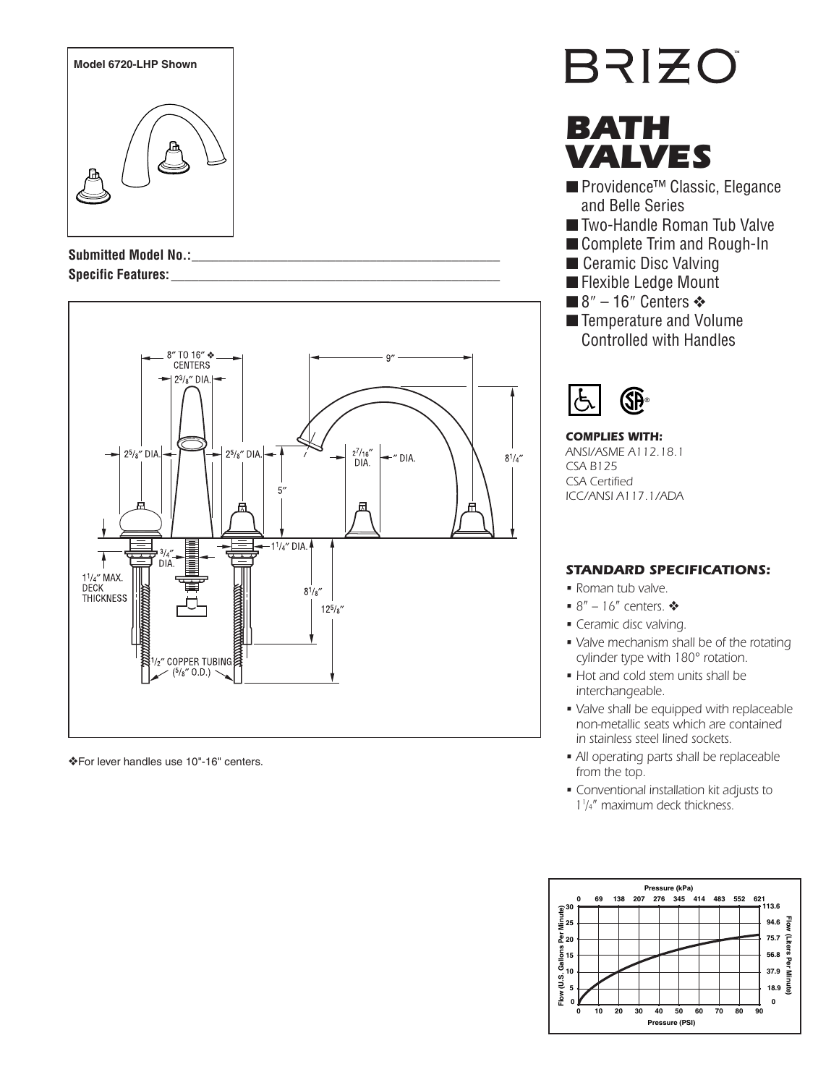

Submitted Model No.: **Specific Features: \_\_\_\_\_\_\_\_\_\_\_\_\_\_\_\_\_\_\_\_\_\_\_\_\_\_\_\_\_\_\_\_\_\_\_\_\_\_\_\_\_\_\_\_\_\_\_\_**



❖For lever handles use 10"-16" centers.

# **BRIZO**

# BATH VALVES

- Providence<sup>™</sup> Classic, Elegance and Belle Series
- Two-Handle Roman Tub Valve
- Complete Trim and Rough-In
- Ceramic Disc Valving
- Flexible Ledge Mount
- 8" 16" Centers  $\triangleleft$
- Temperature and Volume Controlled with Handles



#### **COMPLIES WITH:** ANSI/ASME A112.18.1 CSA B125 CSA Certified ICC/ANSI A117.1/ADA

# **STANDARD SPECIFICATIONS:**

- Roman tub valve.
- $8'' 16''$  centers.  $\clubsuit$
- Ceramic disc valving.
- Valve mechanism shall be of the rotating cylinder type with 180° rotation.
- Hot and cold stem units shall be interchangeable.
- Valve shall be equipped with replaceable non-metallic seats which are contained in stainless steel lined sockets.
- All operating parts shall be replaceable from the top.
- Conventional installation kit adjusts to 11 /4ʺ maximum deck thickness.